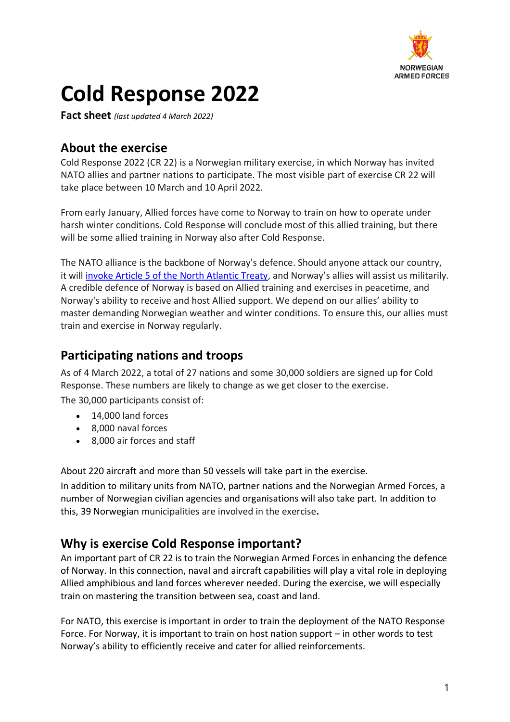

# **Cold Response 2022**

**Fact sheet** *(last updated 4 March 2022)*

# **About the exercise**

Cold Response 2022 (CR 22) is a Norwegian military exercise, in which Norway has invited NATO allies and partner nations to participate. The most visible part of exercise CR 22 will take place between 10 March and 10 April 2022.

From early January, Allied forces have come to Norway to train on how to operate under harsh winter conditions. Cold Response will conclude most of this allied training, but there will be some allied training in Norway also after Cold Response.

The NATO alliance is the backbone of Norway's defence. Should anyone attack our country, it will [invoke Article 5 of the North Atlantic Treaty](https://www.nato.int/cps/en/natohq/topics_110496.htm), and Norway's allies will assist us militarily. A credible defence of Norway is based on Allied training and exercises in peacetime, and Norway's ability to receive and host Allied support. We depend on our allies' ability to master demanding Norwegian weather and winter conditions. To ensure this, our allies must train and exercise in Norway regularly.

# **Participating nations and troops**

As of 4 March 2022, a total of 27 nations and some 30,000 soldiers are signed up for Cold Response. These numbers are likely to change as we get closer to the exercise. The 30,000 participants consist of:

- 14,000 land forces
- 8,000 naval forces
- 8,000 air forces and staff

About 220 aircraft and more than 50 vessels will take part in the exercise.

In addition to military units from NATO, partner nations and the Norwegian Armed Forces, a number of Norwegian civilian agencies and organisations will also take part. In addition to this, 39 Norwegian municipalities are involved in the exercise**.**

## **Why is exercise Cold Response important?**

An important part of CR 22 is to train the Norwegian Armed Forces in enhancing the defence of Norway. In this connection, naval and aircraft capabilities will play a vital role in deploying Allied amphibious and land forces wherever needed. During the exercise, we will especially train on mastering the transition between sea, coast and land.

For NATO, this exercise is important in order to train the deployment of the NATO Response Force. For Norway, it is important to train on host nation support – in other words to test Norway's ability to efficiently receive and cater for allied reinforcements.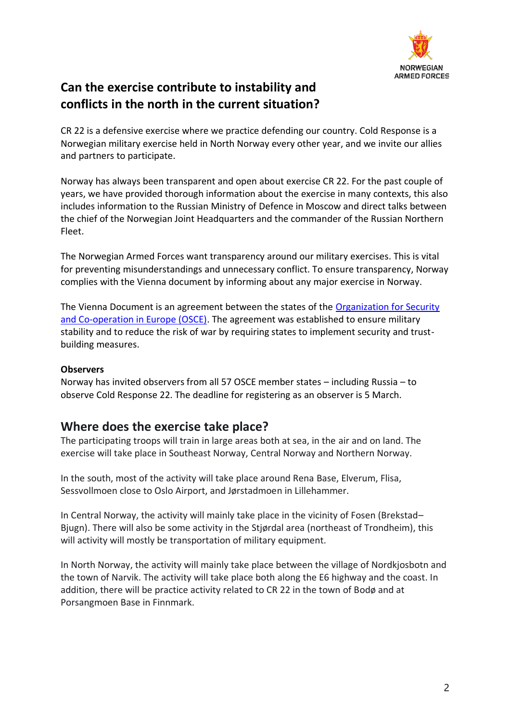

# **Can the exercise contribute to instability and conflicts in the north in the current situation?**

CR 22 is a defensive exercise where we practice defending our country. Cold Response is a Norwegian military exercise held in North Norway every other year, and we invite our allies and partners to participate.

Norway has always been transparent and open about exercise CR 22. For the past couple of years, we have provided thorough information about the exercise in many contexts, this also includes information to the Russian Ministry of Defence in Moscow and direct talks between the chief of the Norwegian Joint Headquarters and the commander of the Russian Northern Fleet.

The Norwegian Armed Forces want transparency around our military exercises. This is vital for preventing misunderstandings and unnecessary conflict. To ensure transparency, Norway complies with the Vienna document by informing about any major exercise in Norway.

The Vienna Document is an agreement between the states of the [Organization for Security](https://www.osce.org/)  [and Co-operation in Europe \(OSCE\).](https://www.osce.org/) The agreement was established to ensure military stability and to reduce the risk of war by requiring states to implement security and trustbuilding measures.

## **Observers**

Norway has invited observers from all 57 OSCE member states – including Russia – to observe Cold Response 22. The deadline for registering as an observer is 5 March.

## **Where does the exercise take place?**

The participating troops will train in large areas both at sea, in the air and on land. The exercise will take place in Southeast Norway, Central Norway and Northern Norway.

In the south, most of the activity will take place around Rena Base, Elverum, Flisa, Sessvollmoen close to Oslo Airport, and Jørstadmoen in Lillehammer.

In Central Norway, the activity will mainly take place in the vicinity of Fosen (Brekstad– Bjugn). There will also be some activity in the Stjørdal area (northeast of Trondheim), this will activity will mostly be transportation of military equipment.

In North Norway, the activity will mainly take place between the village of Nordkjosbotn and the town of Narvik. The activity will take place both along the E6 highway and the coast. In addition, there will be practice activity related to CR 22 in the town of Bodø and at Porsangmoen Base in Finnmark.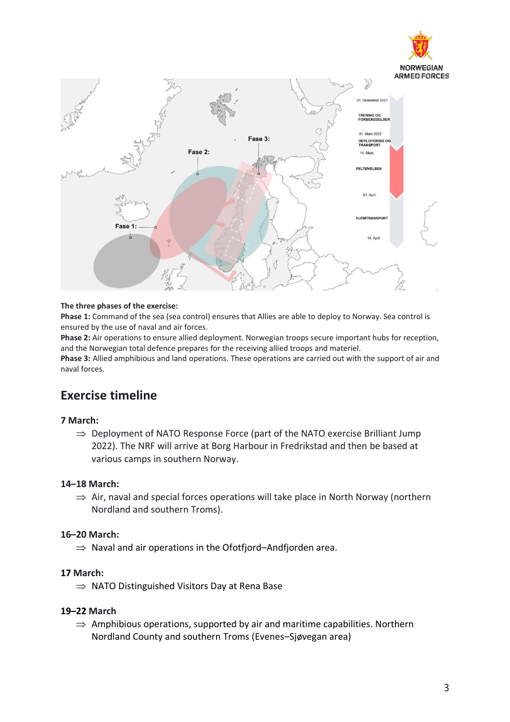



#### **The three phases of the exercise:**

**Phase 1:** Command of the sea (sea control) ensures that Allies are able to deploy to Norway. Sea control is ensured by the use of naval and air forces.

**Phase 2:** Air operations to ensure allied deployment. Norwegian troops secure important hubs for reception, and the Norwegian total defence prepares for the receiving allied troops and materiel.

**Phase 3:** Allied amphibious and land operations. These operations are carried out with the support of air and naval forces.

## **Exercise timeline**

#### **7 March:**

 $\Rightarrow$  Deployment of NATO Response Force (part of the NATO exercise Brilliant Jump 2022). The NRF will arrive at Borg Harbour in Fredrikstad and then be based at various camps in southern Norway.

#### **14–18 March:**

 $\Rightarrow$  Air, naval and special forces operations will take place in North Norway (northern Nordland and southern Troms).

#### **16–20 March:**

 $\Rightarrow$  Naval and air operations in the Ofotfjord–Andfjorden area.

#### **17 March:**

 $\Rightarrow$  NATO Distinguished Visitors Day at Rena Base

#### **19–22 March**

 $\Rightarrow$  Amphibious operations, supported by air and maritime capabilities. Northern Nordland County and southern Troms (Evenes–Sjøvegan area)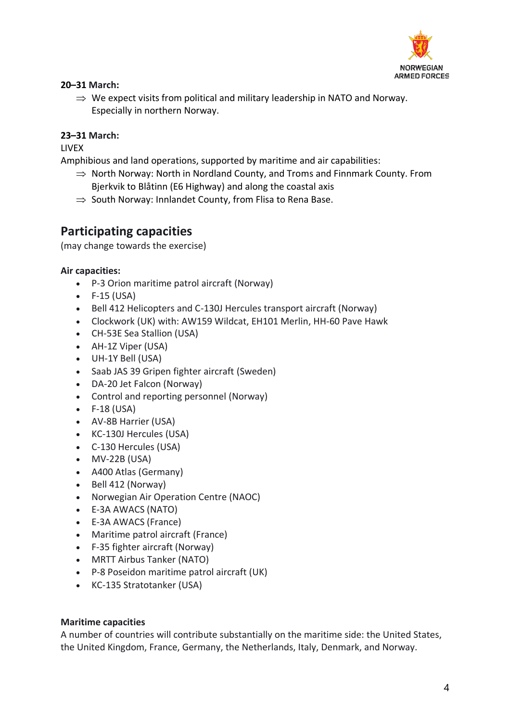

## **20–31 March:**

 $\Rightarrow$  We expect visits from political and military leadership in NATO and Norway. Especially in northern Norway.

## **23–31 March:**

**LIVEX** 

Amphibious and land operations, supported by maritime and air capabilities:

- $\Rightarrow$  North Norway: North in Nordland County, and Troms and Finnmark County. From Bjerkvik to Blåtinn (E6 Highway) and along the coastal axis
- $\Rightarrow$  South Norway: Innlandet County, from Flisa to Rena Base.

## **Participating capacities**

(may change towards the exercise)

#### **Air capacities:**

- P-3 Orion maritime patrol aircraft (Norway)
- F-15 (USA)
- Bell 412 Helicopters and C-130J Hercules transport aircraft (Norway)
- Clockwork (UK) with: AW159 Wildcat, EH101 Merlin, HH-60 Pave Hawk
- CH-53E Sea Stallion (USA)
- AH-1Z Viper (USA)
- UH-1Y Bell (USA)
- Saab JAS 39 Gripen fighter aircraft (Sweden)
- DA-20 Jet Falcon (Norway)
- Control and reporting personnel (Norway)
- F-18 (USA)
- AV-8B Harrier (USA)
- KC-130J Hercules (USA)
- C-130 Hercules (USA)
- MV-22B (USA)
- A400 Atlas (Germany)
- Bell 412 (Norway)
- Norwegian Air Operation Centre (NAOC)
- E-3A AWACS (NATO)
- E-3A AWACS (France)
- Maritime patrol aircraft (France)
- F-35 fighter aircraft (Norway)
- MRTT Airbus Tanker (NATO)
- P-8 Poseidon maritime patrol aircraft (UK)
- KC-135 Stratotanker (USA)

## **Maritime capacities**

A number of countries will contribute substantially on the maritime side: the United States, the United Kingdom, France, Germany, the Netherlands, Italy, Denmark, and Norway.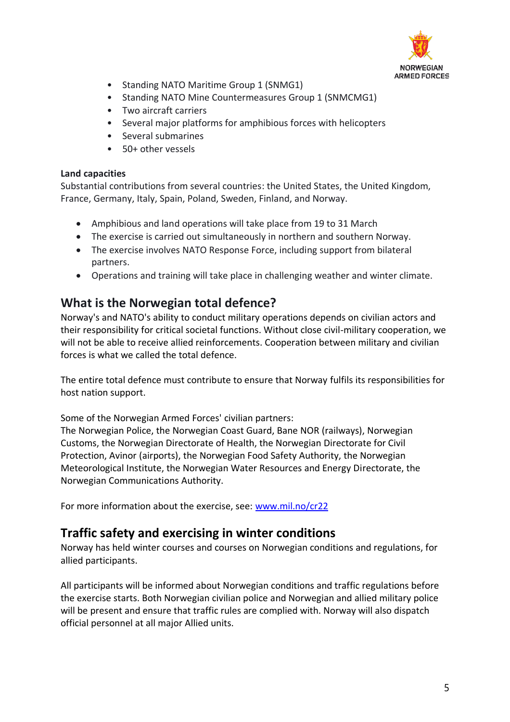

- Standing NATO Maritime Group 1 (SNMG1)
- Standing NATO Mine Countermeasures Group 1 (SNMCMG1)
- Two aircraft carriers
- Several major platforms for amphibious forces with helicopters
- Several submarines
- 50+ other vessels

#### **Land capacities**

Substantial contributions from several countries: the United States, the United Kingdom, France, Germany, Italy, Spain, Poland, Sweden, Finland, and Norway.

- Amphibious and land operations will take place from 19 to 31 March
- The exercise is carried out simultaneously in northern and southern Norway.
- The exercise involves NATO Response Force, including support from bilateral partners.
- Operations and training will take place in challenging weather and winter climate.

## **What is the Norwegian total defence?**

Norway's and NATO's ability to conduct military operations depends on civilian actors and their responsibility for critical societal functions. Without close civil-military cooperation, we will not be able to receive allied reinforcements. Cooperation between military and civilian forces is what we called the total defence.

The entire total defence must contribute to ensure that Norway fulfils its responsibilities for host nation support.

Some of the Norwegian Armed Forces' civilian partners:

The Norwegian Police, the Norwegian Coast Guard, Bane NOR (railways), Norwegian Customs, the Norwegian Directorate of Health, the Norwegian Directorate for Civil Protection, Avinor (airports), the Norwegian Food Safety Authority, the Norwegian Meteorological Institute, the Norwegian Water Resources and Energy Directorate, the Norwegian Communications Authority.

For more information about the exercise, see: [www.mil.no/cr22](http://www.mil.no/cr22)

## **Traffic safety and exercising in winter conditions**

Norway has held winter courses and courses on Norwegian conditions and regulations, for allied participants.

All participants will be informed about Norwegian conditions and traffic regulations before the exercise starts. Both Norwegian civilian police and Norwegian and allied military police will be present and ensure that traffic rules are complied with. Norway will also dispatch official personnel at all major Allied units.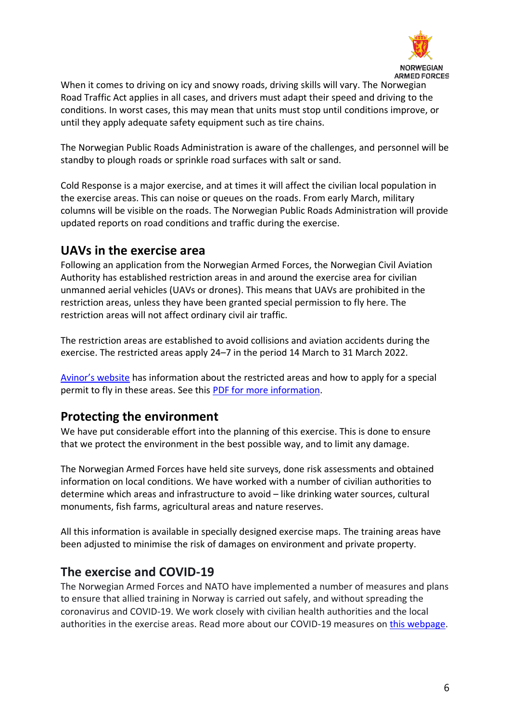

When it comes to driving on icy and snowy roads, driving skills will vary. The Norwegian Road Traffic Act applies in all cases, and drivers must adapt their speed and driving to the conditions. In worst cases, this may mean that units must stop until conditions improve, or until they apply adequate safety equipment such as tire chains.

The Norwegian Public Roads Administration is aware of the challenges, and personnel will be standby to plough roads or sprinkle road surfaces with salt or sand.

Cold Response is a major exercise, and at times it will affect the civilian local population in the exercise areas. This can noise or queues on the roads. From early March, military columns will be visible on the roads. The Norwegian Public Roads Administration will provide updated reports on road conditions and traffic during the exercise.

## **UAVs in the exercise area**

Following an application from the Norwegian Armed Forces, the Norwegian Civil Aviation Authority has established restriction areas in and around the exercise area for civilian unmanned aerial vehicles (UAVs or drones). This means that UAVs are prohibited in the restriction areas, unless they have been granted special permission to fly here. The restriction areas will not affect ordinary civil air traffic.

The restriction areas are established to avoid collisions and aviation accidents during the exercise. The restricted areas apply 24–7 in the period 14 March to 31 March 2022.

[Avinor's website](http://www.avinor.no/) has information about the restricted areas and how to apply for a special permit to fly in these areas. See this [PDF for more information.](https://avinor.no/globalassets/_microsite/ais-portal/aip-sup/en_sup_a_2022_003_en.pdf)

# **Protecting the environment**

We have put considerable effort into the planning of this exercise. This is done to ensure that we protect the environment in the best possible way, and to limit any damage.

The Norwegian Armed Forces have held site surveys, done risk assessments and obtained information on local conditions. We have worked with a number of civilian authorities to determine which areas and infrastructure to avoid – like drinking water sources, cultural monuments, fish farms, agricultural areas and nature reserves.

All this information is available in specially designed exercise maps. The training areas have been adjusted to minimise the risk of damages on environment and private property.

# **The exercise and COVID-19**

The Norwegian Armed Forces and NATO have implemented a number of measures and plans to ensure that allied training in Norway is carried out safely, and without spreading the coronavirus and COVID-19. We work closely with civilian health authorities and the local authorities in the exercise areas. Read more about our COVID-19 measures on [this webpage.](https://www.forsvaret.no/en/exercises-and-operations/exercises/allied-training)